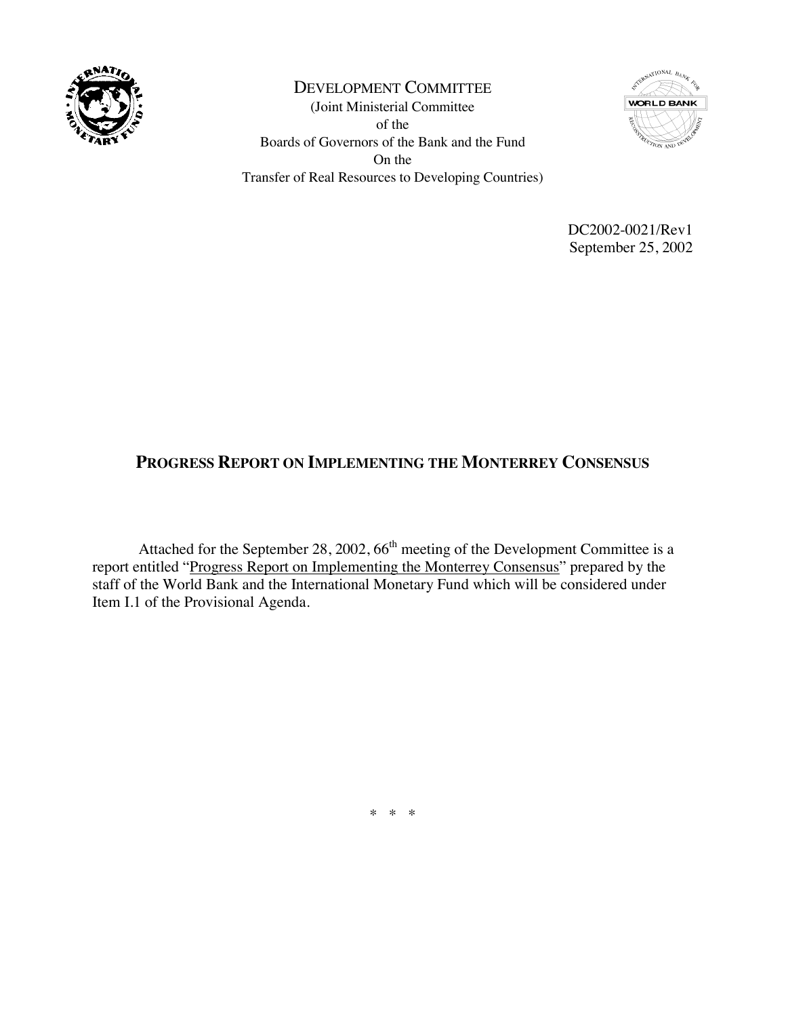

DEVELOPMENT COMMITTEE (Joint Ministerial Committee of the Boards of Governors of the Bank and the Fund On the Transfer of Real Resources to Developing Countries)



DC2002-0021/Rev1 September 25, 2002

# **PROGRESS REPORT ON IMPLEMENTING THE MONTERREY CONSENSUS**

Attached for the September 28, 2002,  $66<sup>th</sup>$  meeting of the Development Committee is a report entitled "Progress Report on Implementing the Monterrey Consensus" prepared by the staff of the World Bank and the International Monetary Fund which will be considered under Item I.1 of the Provisional Agenda.

\* \* \*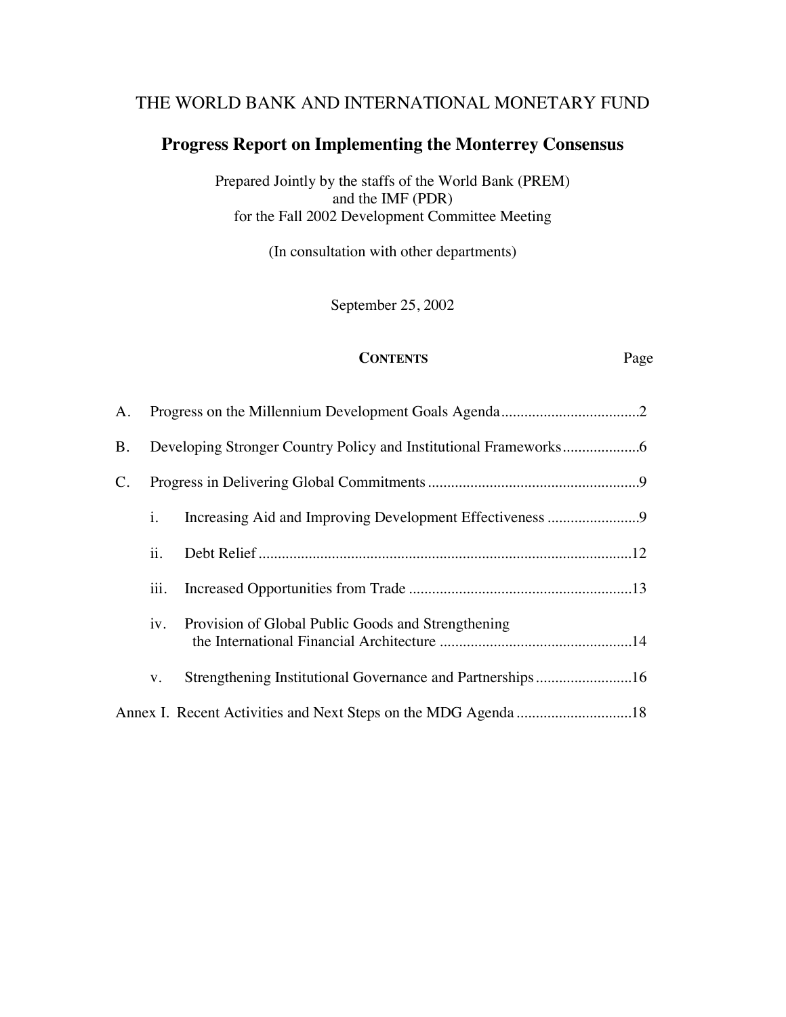# THE WORLD BANK AND INTERNATIONAL MONETARY FUND

# **Progress Report on Implementing the Monterrey Consensus**

Prepared Jointly by the staffs of the World Bank (PREM) and the IMF (PDR) for the Fall 2002 Development Committee Meeting

(In consultation with other departments)

September 25, 2002

#### **CONTENTS** Page

| A.              |      |                                                           |  |
|-----------------|------|-----------------------------------------------------------|--|
| <b>B.</b>       |      |                                                           |  |
| $\mathcal{C}$ . |      |                                                           |  |
|                 | i.   |                                                           |  |
|                 | ii.  |                                                           |  |
|                 | iii. |                                                           |  |
|                 | iv.  | Provision of Global Public Goods and Strengthening        |  |
|                 | V.   | Strengthening Institutional Governance and Partnerships16 |  |
|                 |      |                                                           |  |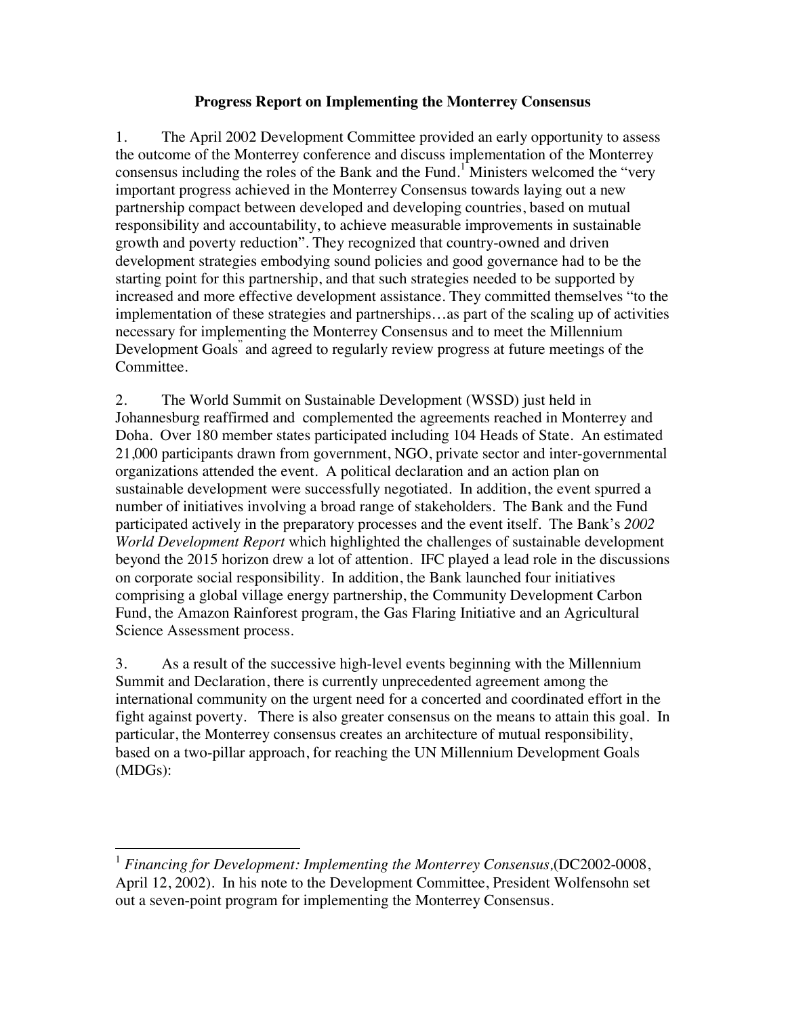#### **Progress Report on Implementing the Monterrey Consensus**

1. The April 2002 Development Committee provided an early opportunity to assess the outcome of the Monterrey conference and discuss implementation of the Monterrey consensus including the roles of the Bank and the Fund.<sup>1</sup> Ministers welcomed the "very important progress achieved in the Monterrey Consensus towards laying out a new partnership compact between developed and developing countries, based on mutual responsibility and accountability, to achieve measurable improvements in sustainable growth and poverty reduction". They recognized that country-owned and driven development strategies embodying sound policies and good governance had to be the starting point for this partnership, and that such strategies needed to be supported by increased and more effective development assistance. They committed themselves "to the implementation of these strategies and partnerships…as part of the scaling up of activities necessary for implementing the Monterrey Consensus and to meet the Millennium Development Goals" and agreed to regularly review progress at future meetings of the Committee.

2. The World Summit on Sustainable Development (WSSD) just held in Johannesburg reaffirmed and complemented the agreements reached in Monterrey and Doha. Over 180 member states participated including 104 Heads of State. An estimated 21,000 participants drawn from government, NGO, private sector and inter-governmental organizations attended the event. A political declaration and an action plan on sustainable development were successfully negotiated. In addition, the event spurred a number of initiatives involving a broad range of stakeholders. The Bank and the Fund participated actively in the preparatory processes and the event itself. The Bank's *2002 World Development Report* which highlighted the challenges of sustainable development beyond the 2015 horizon drew a lot of attention. IFC played a lead role in the discussions on corporate social responsibility. In addition, the Bank launched four initiatives comprising a global village energy partnership, the Community Development Carbon Fund, the Amazon Rainforest program, the Gas Flaring Initiative and an Agricultural Science Assessment process.

3. As a result of the successive high-level events beginning with the Millennium Summit and Declaration, there is currently unprecedented agreement among the international community on the urgent need for a concerted and coordinated effort in the fight against poverty. There is also greater consensus on the means to attain this goal. In particular, the Monterrey consensus creates an architecture of mutual responsibility, based on a two-pillar approach, for reaching the UN Millennium Development Goals (MDGs):

<sup>1</sup> *Financing for Development: Implementing the Monterrey Consensus,*(DC2002-0008, April 12, 2002). In his note to the Development Committee, President Wolfensohn set out a seven-point program for implementing the Monterrey Consensus.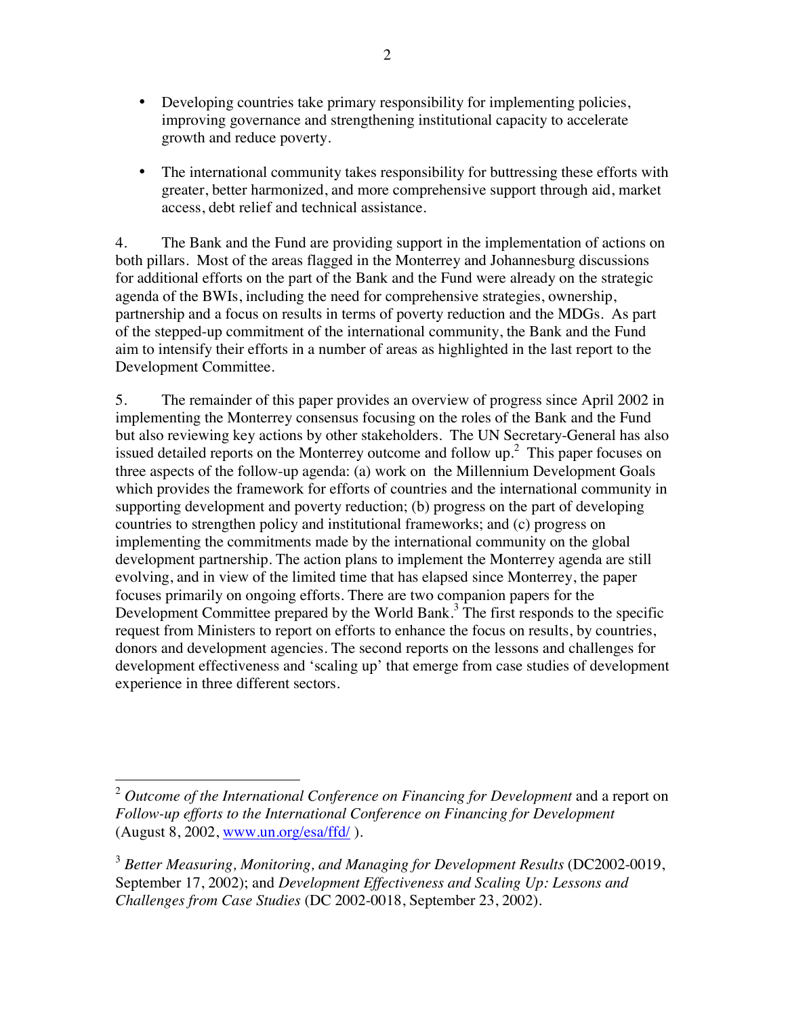- Developing countries take primary responsibility for implementing policies, improving governance and strengthening institutional capacity to accelerate growth and reduce poverty.
- The international community takes responsibility for buttressing these efforts with greater, better harmonized, and more comprehensive support through aid, market access, debt relief and technical assistance.

4. The Bank and the Fund are providing support in the implementation of actions on both pillars. Most of the areas flagged in the Monterrey and Johannesburg discussions for additional efforts on the part of the Bank and the Fund were already on the strategic agenda of the BWIs, including the need for comprehensive strategies, ownership, partnership and a focus on results in terms of poverty reduction and the MDGs. As part of the stepped-up commitment of the international community, the Bank and the Fund aim to intensify their efforts in a number of areas as highlighted in the last report to the Development Committee.

5. The remainder of this paper provides an overview of progress since April 2002 in implementing the Monterrey consensus focusing on the roles of the Bank and the Fund but also reviewing key actions by other stakeholders. The UN Secretary-General has also issued detailed reports on the Monterrey outcome and follow up.<sup>2</sup> This paper focuses on three aspects of the follow-up agenda: (a) work on the Millennium Development Goals which provides the framework for efforts of countries and the international community in supporting development and poverty reduction; (b) progress on the part of developing countries to strengthen policy and institutional frameworks; and (c) progress on implementing the commitments made by the international community on the global development partnership. The action plans to implement the Monterrey agenda are still evolving, and in view of the limited time that has elapsed since Monterrey, the paper focuses primarily on ongoing efforts. There are two companion papers for the Development Committee prepared by the World Bank. $3$  The first responds to the specific request from Ministers to report on efforts to enhance the focus on results, by countries, donors and development agencies. The second reports on the lessons and challenges for development effectiveness and 'scaling up' that emerge from case studies of development experience in three different sectors.

<sup>&</sup>lt;sup>2</sup> Outcome of the International Conference on Financing for Development and a report on *Follow-up efforts to the International Conference on Financing for Development*   $(August 8, 2002, www.un.org/esa/ffd/ ).$ 

<sup>&</sup>lt;sup>3</sup> Better Measuring, Monitoring, and Managing for Development Results (DC2002-0019, September 17, 2002); and *Development Effectiveness and Scaling Up: Lessons and Challenges from Case Studies* (DC 2002-0018, September 23, 2002).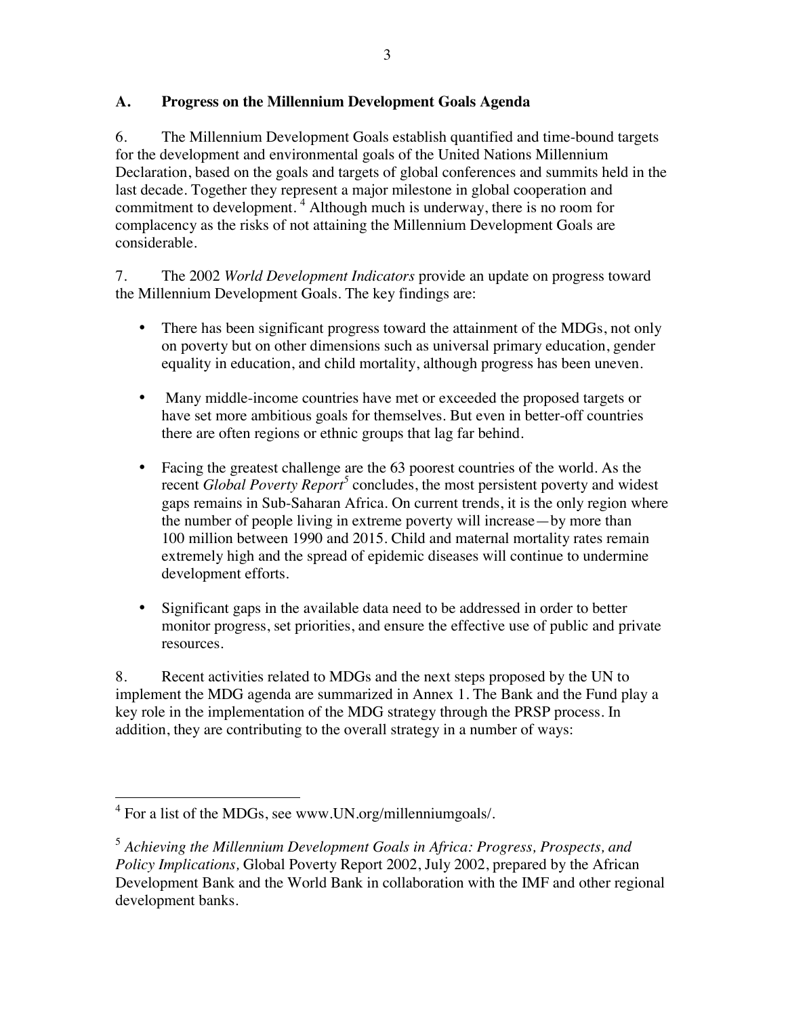## **A. Progress on the Millennium Development Goals Agenda**

6. The Millennium Development Goals establish quantified and time-bound targets for the development and environmental goals of the United Nations Millennium Declaration, based on the goals and targets of global conferences and summits held in the last decade. Together they represent a major milestone in global cooperation and commitment to development.<sup>4</sup> Although much is underway, there is no room for complacency as the risks of not attaining the Millennium Development Goals are considerable.

7. The 2002 *World Development Indicators* provide an update on progress toward the Millennium Development Goals. The key findings are:

- There has been significant progress toward the attainment of the MDGs, not only on poverty but on other dimensions such as universal primary education, gender equality in education, and child mortality, although progress has been uneven.
- Many middle-income countries have met or exceeded the proposed targets or have set more ambitious goals for themselves. But even in better-off countries there are often regions or ethnic groups that lag far behind.
- Facing the greatest challenge are the 63 poorest countries of the world. As the recent *Global Poverty Report*<sup>5</sup> concludes, the most persistent poverty and widest gaps remains in Sub-Saharan Africa. On current trends, it is the only region where the number of people living in extreme poverty will increase—by more than 100 million between 1990 and 2015. Child and maternal mortality rates remain extremely high and the spread of epidemic diseases will continue to undermine development efforts.
- Significant gaps in the available data need to be addressed in order to better monitor progress, set priorities, and ensure the effective use of public and private resources.

8. Recent activities related to MDGs and the next steps proposed by the UN to implement the MDG agenda are summarized in Annex 1. The Bank and the Fund play a key role in the implementation of the MDG strategy through the PRSP process. In addition, they are contributing to the overall strategy in a number of ways:

 4 For a list of the MDGs, see www.UN.org/millenniumgoals/.

<sup>5</sup> *Achieving the Millennium Development Goals in Africa: Progress, Prospects, and Policy Implications,* Global Poverty Report 2002, July 2002, prepared by the African Development Bank and the World Bank in collaboration with the IMF and other regional development banks.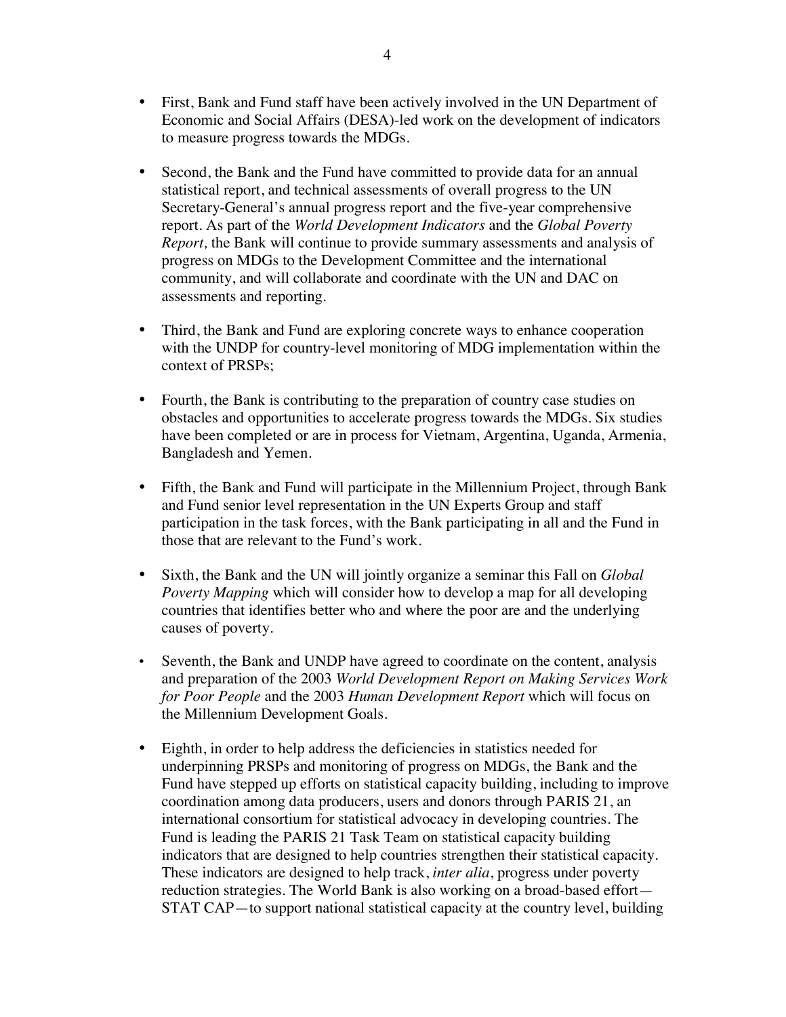- First, Bank and Fund staff have been actively involved in the UN Department of Economic and Social Affairs (DESA)-led work on the development of indicators to measure progress towards the MDGs.
- Second, the Bank and the Fund have committed to provide data for an annual statistical report, and technical assessments of overall progress to the UN Secretary-General's annual progress report and the five-year comprehensive report. As part of the *World Development Indicators* and the *Global Poverty Report,* the Bank will continue to provide summary assessments and analysis of progress on MDGs to the Development Committee and the international community, and will collaborate and coordinate with the UN and DAC on assessments and reporting.
- Third, the Bank and Fund are exploring concrete ways to enhance cooperation with the UNDP for country-level monitoring of MDG implementation within the context of PRSPs;
- Fourth, the Bank is contributing to the preparation of country case studies on obstacles and opportunities to accelerate progress towards the MDGs. Six studies have been completed or are in process for Vietnam, Argentina, Uganda, Armenia, Bangladesh and Yemen.
- Fifth, the Bank and Fund will participate in the Millennium Project, through Bank and Fund senior level representation in the UN Experts Group and staff participation in the task forces, with the Bank participating in all and the Fund in those that are relevant to the Fund's work.
- Sixth, the Bank and the UN will jointly organize a seminar this Fall on *Global Poverty Mapping* which will consider how to develop a map for all developing countries that identifies better who and where the poor are and the underlying causes of poverty.
- Seventh, the Bank and UNDP have agreed to coordinate on the content, analysis and preparation of the 2003 *World Development Report on Making Services Work for Poor People* and the 2003 *Human Development Report* which will focus on the Millennium Development Goals.
- Eighth, in order to help address the deficiencies in statistics needed for underpinning PRSPs and monitoring of progress on MDGs, the Bank and the Fund have stepped up efforts on statistical capacity building, including to improve coordination among data producers, users and donors through PARIS 21, an international consortium for statistical advocacy in developing countries. The Fund is leading the PARIS 21 Task Team on statistical capacity building indicators that are designed to help countries strengthen their statistical capacity. These indicators are designed to help track, *inter alia*, progress under poverty reduction strategies. The World Bank is also working on a broad-based effort— STAT CAP—to support national statistical capacity at the country level, building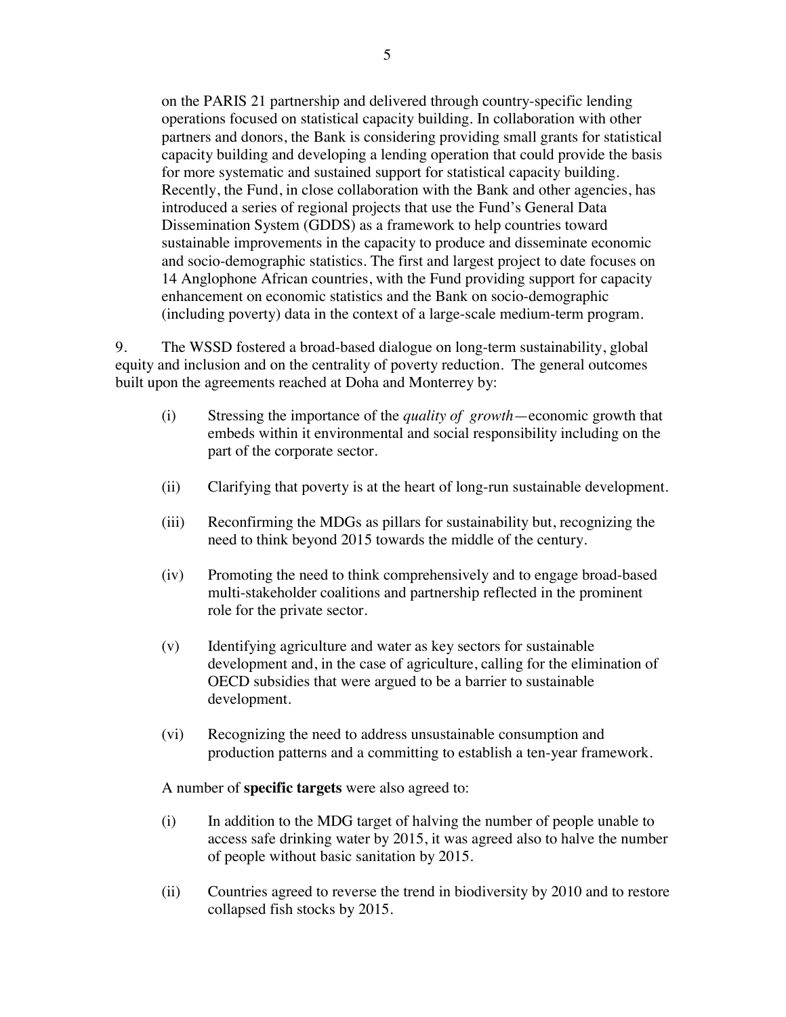on the PARIS 21 partnership and delivered through country-specific lending operations focused on statistical capacity building. In collaboration with other partners and donors, the Bank is considering providing small grants for statistical capacity building and developing a lending operation that could provide the basis for more systematic and sustained support for statistical capacity building. Recently, the Fund, in close collaboration with the Bank and other agencies, has introduced a series of regional projects that use the Fund's General Data Dissemination System (GDDS) as a framework to help countries toward sustainable improvements in the capacity to produce and disseminate economic and socio-demographic statistics. The first and largest project to date focuses on 14 Anglophone African countries, with the Fund providing support for capacity enhancement on economic statistics and the Bank on socio-demographic (including poverty) data in the context of a large-scale medium-term program.

9. The WSSD fostered a broad-based dialogue on long-term sustainability, global equity and inclusion and on the centrality of poverty reduction. The general outcomes built upon the agreements reached at Doha and Monterrey by:

- (i) Stressing the importance of the *quality of growth*—economic growth that embeds within it environmental and social responsibility including on the part of the corporate sector.
- (ii) Clarifying that poverty is at the heart of long-run sustainable development.
- (iii) Reconfirming the MDGs as pillars for sustainability but, recognizing the need to think beyond 2015 towards the middle of the century.
- (iv) Promoting the need to think comprehensively and to engage broad-based multi-stakeholder coalitions and partnership reflected in the prominent role for the private sector.
- (v) Identifying agriculture and water as key sectors for sustainable development and, in the case of agriculture, calling for the elimination of OECD subsidies that were argued to be a barrier to sustainable development.
- (vi) Recognizing the need to address unsustainable consumption and production patterns and a committing to establish a ten-year framework.

A number of **specific targets** were also agreed to:

- (i) In addition to the MDG target of halving the number of people unable to access safe drinking water by 2015, it was agreed also to halve the number of people without basic sanitation by 2015.
- (ii) Countries agreed to reverse the trend in biodiversity by 2010 and to restore collapsed fish stocks by 2015.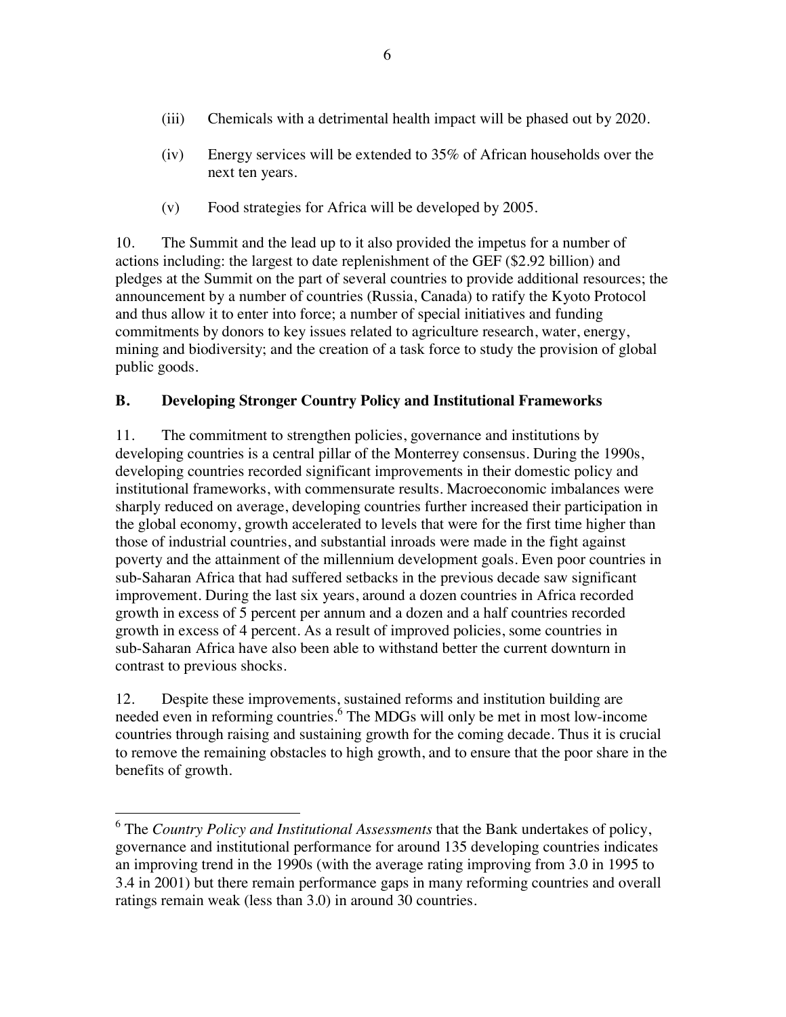- (iii) Chemicals with a detrimental health impact will be phased out by 2020.
- (iv) Energy services will be extended to 35% of African households over the next ten years.
- (v) Food strategies for Africa will be developed by 2005.

10. The Summit and the lead up to it also provided the impetus for a number of actions including: the largest to date replenishment of the GEF (\$2.92 billion) and pledges at the Summit on the part of several countries to provide additional resources; the announcement by a number of countries (Russia, Canada) to ratify the Kyoto Protocol and thus allow it to enter into force; a number of special initiatives and funding commitments by donors to key issues related to agriculture research, water, energy, mining and biodiversity; and the creation of a task force to study the provision of global public goods.

## **B. Developing Stronger Country Policy and Institutional Frameworks**

11. The commitment to strengthen policies, governance and institutions by developing countries is a central pillar of the Monterrey consensus. During the 1990s, developing countries recorded significant improvements in their domestic policy and institutional frameworks, with commensurate results. Macroeconomic imbalances were sharply reduced on average, developing countries further increased their participation in the global economy, growth accelerated to levels that were for the first time higher than those of industrial countries, and substantial inroads were made in the fight against poverty and the attainment of the millennium development goals. Even poor countries in sub-Saharan Africa that had suffered setbacks in the previous decade saw significant improvement. During the last six years, around a dozen countries in Africa recorded growth in excess of 5 percent per annum and a dozen and a half countries recorded growth in excess of 4 percent. As a result of improved policies, some countries in sub-Saharan Africa have also been able to withstand better the current downturn in contrast to previous shocks.

12. Despite these improvements, sustained reforms and institution building are needed even in reforming countries.<sup>6</sup> The MDGs will only be met in most low-income countries through raising and sustaining growth for the coming decade. Thus it is crucial to remove the remaining obstacles to high growth, and to ensure that the poor share in the benefits of growth.

 6 The *Country Policy and Institutional Assessments* that the Bank undertakes of policy, governance and institutional performance for around 135 developing countries indicates an improving trend in the 1990s (with the average rating improving from 3.0 in 1995 to 3.4 in 2001) but there remain performance gaps in many reforming countries and overall ratings remain weak (less than 3.0) in around 30 countries.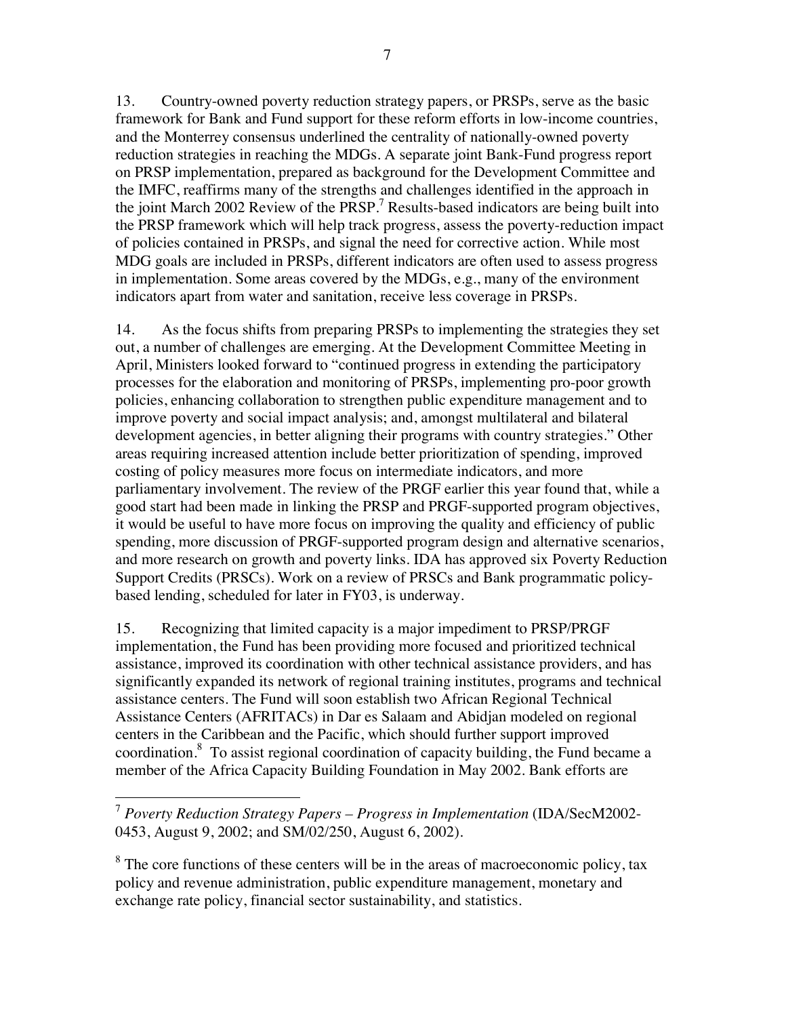13. Country-owned poverty reduction strategy papers, or PRSPs, serve as the basic framework for Bank and Fund support for these reform efforts in low-income countries, and the Monterrey consensus underlined the centrality of nationally-owned poverty reduction strategies in reaching the MDGs. A separate joint Bank-Fund progress report on PRSP implementation, prepared as background for the Development Committee and the IMFC, reaffirms many of the strengths and challenges identified in the approach in the joint March 2002 Review of the  $P\overline{RSP}$ .<sup>7</sup> Results-based indicators are being built into the PRSP framework which will help track progress, assess the poverty-reduction impact of policies contained in PRSPs, and signal the need for corrective action. While most MDG goals are included in PRSPs, different indicators are often used to assess progress in implementation. Some areas covered by the MDGs, e.g., many of the environment indicators apart from water and sanitation, receive less coverage in PRSPs.

14. As the focus shifts from preparing PRSPs to implementing the strategies they set out, a number of challenges are emerging. At the Development Committee Meeting in April, Ministers looked forward to "continued progress in extending the participatory processes for the elaboration and monitoring of PRSPs, implementing pro-poor growth policies, enhancing collaboration to strengthen public expenditure management and to improve poverty and social impact analysis; and, amongst multilateral and bilateral development agencies, in better aligning their programs with country strategies." Other areas requiring increased attention include better prioritization of spending, improved costing of policy measures more focus on intermediate indicators, and more parliamentary involvement. The review of the PRGF earlier this year found that, while a good start had been made in linking the PRSP and PRGF-supported program objectives, it would be useful to have more focus on improving the quality and efficiency of public spending, more discussion of PRGF-supported program design and alternative scenarios, and more research on growth and poverty links. IDA has approved six Poverty Reduction Support Credits (PRSCs). Work on a review of PRSCs and Bank programmatic policybased lending, scheduled for later in FY03, is underway.

15. Recognizing that limited capacity is a major impediment to PRSP/PRGF implementation, the Fund has been providing more focused and prioritized technical assistance, improved its coordination with other technical assistance providers, and has significantly expanded its network of regional training institutes, programs and technical assistance centers. The Fund will soon establish two African Regional Technical Assistance Centers (AFRITACs) in Dar es Salaam and Abidjan modeled on regional centers in the Caribbean and the Pacific, which should further support improved coordination. $8$  To assist regional coordination of capacity building, the Fund became a member of the Africa Capacity Building Foundation in May 2002. Bank efforts are

l <sup>7</sup> *Poverty Reduction Strategy Papers – Progress in Implementation* (IDA/SecM2002- 0453, August 9, 2002; and SM/02/250, August 6, 2002).

 $8$  The core functions of these centers will be in the areas of macroeconomic policy, tax policy and revenue administration, public expenditure management, monetary and exchange rate policy, financial sector sustainability, and statistics.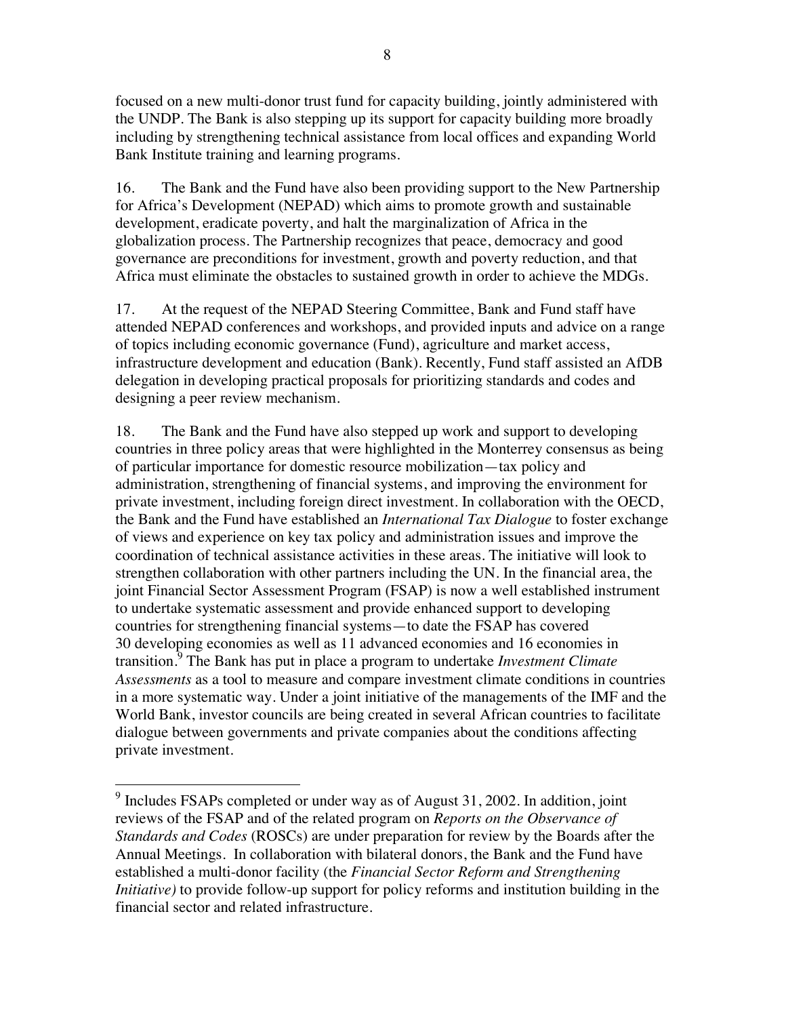focused on a new multi-donor trust fund for capacity building, jointly administered with the UNDP. The Bank is also stepping up its support for capacity building more broadly including by strengthening technical assistance from local offices and expanding World Bank Institute training and learning programs.

16. The Bank and the Fund have also been providing support to the New Partnership for Africa's Development (NEPAD) which aims to promote growth and sustainable development, eradicate poverty, and halt the marginalization of Africa in the globalization process. The Partnership recognizes that peace, democracy and good governance are preconditions for investment, growth and poverty reduction, and that Africa must eliminate the obstacles to sustained growth in order to achieve the MDGs.

17. At the request of the NEPAD Steering Committee, Bank and Fund staff have attended NEPAD conferences and workshops, and provided inputs and advice on a range of topics including economic governance (Fund), agriculture and market access, infrastructure development and education (Bank). Recently, Fund staff assisted an AfDB delegation in developing practical proposals for prioritizing standards and codes and designing a peer review mechanism.

18. The Bank and the Fund have also stepped up work and support to developing countries in three policy areas that were highlighted in the Monterrey consensus as being of particular importance for domestic resource mobilization—tax policy and administration, strengthening of financial systems, and improving the environment for private investment, including foreign direct investment. In collaboration with the OECD, the Bank and the Fund have established an *International Tax Dialogue* to foster exchange of views and experience on key tax policy and administration issues and improve the coordination of technical assistance activities in these areas. The initiative will look to strengthen collaboration with other partners including the UN. In the financial area, the joint Financial Sector Assessment Program (FSAP) is now a well established instrument to undertake systematic assessment and provide enhanced support to developing countries for strengthening financial systems—to date the FSAP has covered 30 developing economies as well as 11 advanced economies and 16 economies in transition.9 The Bank has put in place a program to undertake *Investment Climate Assessments* as a tool to measure and compare investment climate conditions in countries in a more systematic way. Under a joint initiative of the managements of the IMF and the World Bank, investor councils are being created in several African countries to facilitate dialogue between governments and private companies about the conditions affecting private investment.

<sup>&</sup>lt;sup>9</sup> Includes FSAPs completed or under way as of August 31, 2002. In addition, joint reviews of the FSAP and of the related program on *Reports on the Observance of Standards and Codes* (ROSCs) are under preparation for review by the Boards after the Annual Meetings. In collaboration with bilateral donors, the Bank and the Fund have established a multi-donor facility (the *Financial Sector Reform and Strengthening Initiative*) to provide follow-up support for policy reforms and institution building in the financial sector and related infrastructure.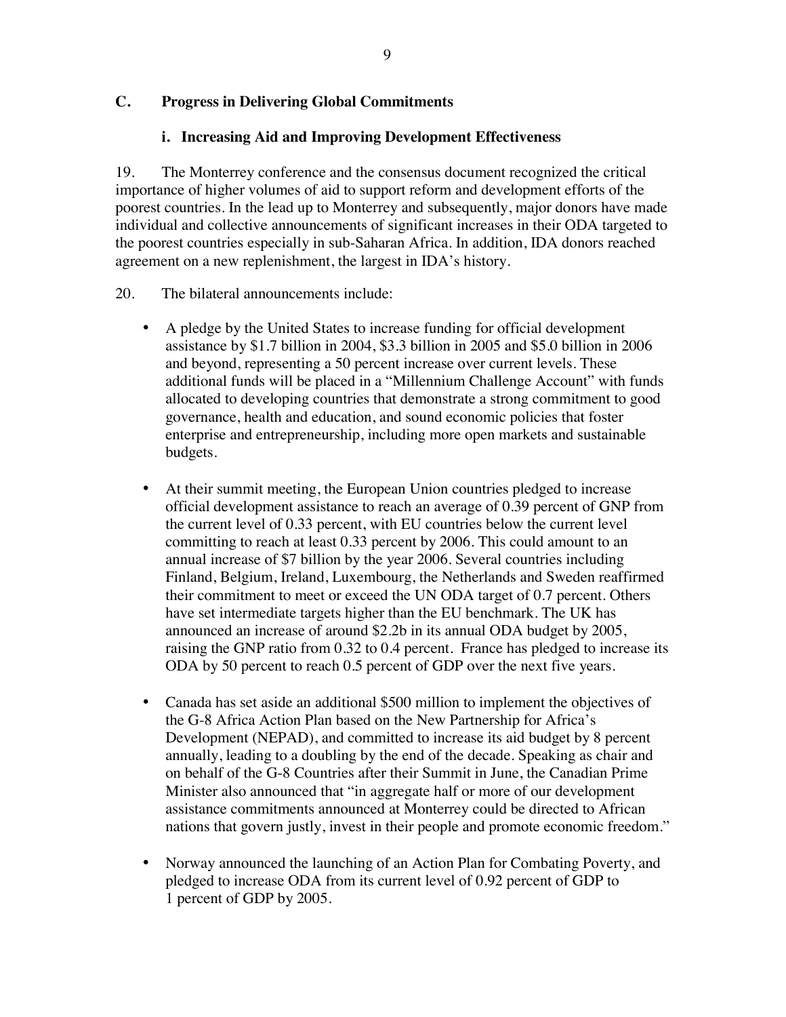## **C. Progress in Delivering Global Commitments**

#### **i. Increasing Aid and Improving Development Effectiveness**

19. The Monterrey conference and the consensus document recognized the critical importance of higher volumes of aid to support reform and development efforts of the poorest countries. In the lead up to Monterrey and subsequently, major donors have made individual and collective announcements of significant increases in their ODA targeted to the poorest countries especially in sub-Saharan Africa. In addition, IDA donors reached agreement on a new replenishment, the largest in IDA's history.

- 20. The bilateral announcements include:
	- A pledge by the United States to increase funding for official development assistance by \$1.7 billion in 2004, \$3.3 billion in 2005 and \$5.0 billion in 2006 and beyond, representing a 50 percent increase over current levels. These additional funds will be placed in a "Millennium Challenge Account" with funds allocated to developing countries that demonstrate a strong commitment to good governance, health and education, and sound economic policies that foster enterprise and entrepreneurship, including more open markets and sustainable budgets.
	- At their summit meeting, the European Union countries pledged to increase official development assistance to reach an average of 0.39 percent of GNP from the current level of 0.33 percent, with EU countries below the current level committing to reach at least 0.33 percent by 2006. This could amount to an annual increase of \$7 billion by the year 2006. Several countries including Finland, Belgium, Ireland, Luxembourg, the Netherlands and Sweden reaffirmed their commitment to meet or exceed the UN ODA target of 0.7 percent. Others have set intermediate targets higher than the EU benchmark. The UK has announced an increase of around \$2.2b in its annual ODA budget by 2005, raising the GNP ratio from 0.32 to 0.4 percent. France has pledged to increase its ODA by 50 percent to reach 0.5 percent of GDP over the next five years.
	- Canada has set aside an additional \$500 million to implement the objectives of the G-8 Africa Action Plan based on the New Partnership for Africa's Development (NEPAD), and committed to increase its aid budget by 8 percent annually, leading to a doubling by the end of the decade. Speaking as chair and on behalf of the G-8 Countries after their Summit in June, the Canadian Prime Minister also announced that "in aggregate half or more of our development assistance commitments announced at Monterrey could be directed to African nations that govern justly, invest in their people and promote economic freedom."
	- Norway announced the launching of an Action Plan for Combating Poverty, and pledged to increase ODA from its current level of 0.92 percent of GDP to 1 percent of GDP by 2005.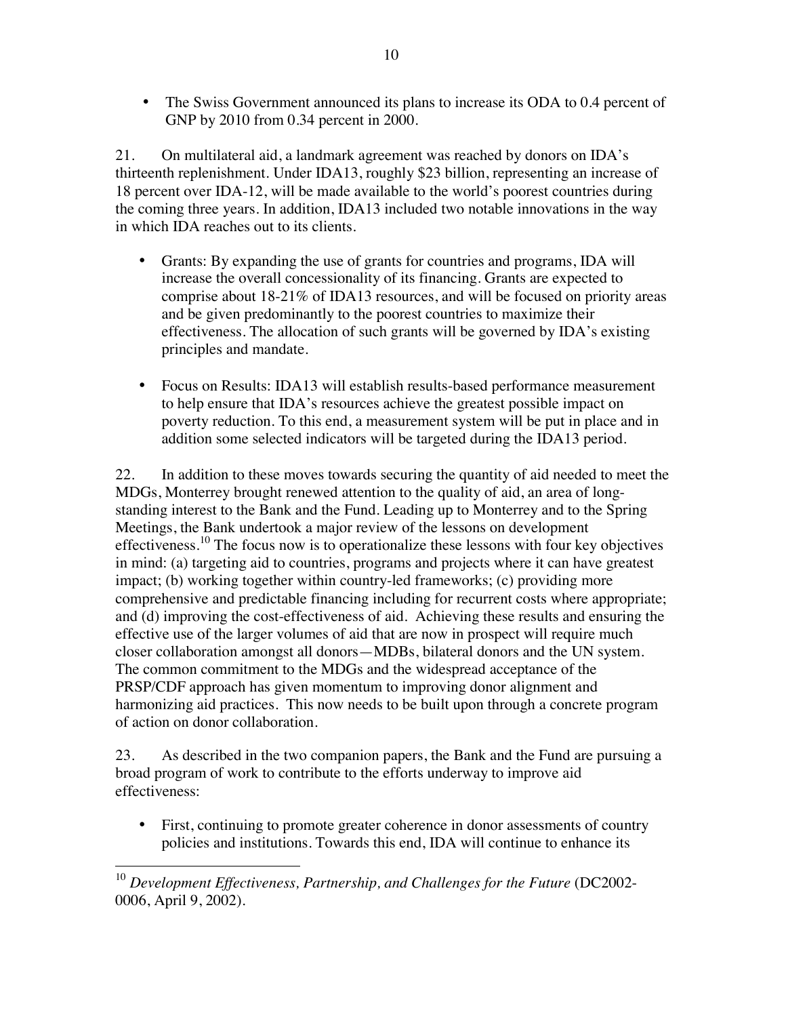• The Swiss Government announced its plans to increase its ODA to 0.4 percent of GNP by 2010 from 0.34 percent in 2000.

21. On multilateral aid, a landmark agreement was reached by donors on IDA's thirteenth replenishment. Under IDA13, roughly \$23 billion, representing an increase of 18 percent over IDA-12, will be made available to the world's poorest countries during the coming three years. In addition, IDA13 included two notable innovations in the way in which IDA reaches out to its clients.

- Grants: By expanding the use of grants for countries and programs, IDA will increase the overall concessionality of its financing. Grants are expected to comprise about 18-21% of IDA13 resources, and will be focused on priority areas and be given predominantly to the poorest countries to maximize their effectiveness. The allocation of such grants will be governed by IDA's existing principles and mandate.
- Focus on Results: IDA13 will establish results-based performance measurement to help ensure that IDA's resources achieve the greatest possible impact on poverty reduction. To this end, a measurement system will be put in place and in addition some selected indicators will be targeted during the IDA13 period.

22. In addition to these moves towards securing the quantity of aid needed to meet the MDGs, Monterrey brought renewed attention to the quality of aid, an area of longstanding interest to the Bank and the Fund. Leading up to Monterrey and to the Spring Meetings, the Bank undertook a major review of the lessons on development effectiveness.<sup>10</sup> The focus now is to operationalize these lessons with four key objectives in mind: (a) targeting aid to countries, programs and projects where it can have greatest impact; (b) working together within country-led frameworks; (c) providing more comprehensive and predictable financing including for recurrent costs where appropriate; and (d) improving the cost-effectiveness of aid. Achieving these results and ensuring the effective use of the larger volumes of aid that are now in prospect will require much closer collaboration amongst all donors—MDBs, bilateral donors and the UN system. The common commitment to the MDGs and the widespread acceptance of the PRSP/CDF approach has given momentum to improving donor alignment and harmonizing aid practices. This now needs to be built upon through a concrete program of action on donor collaboration.

23. As described in the two companion papers, the Bank and the Fund are pursuing a broad program of work to contribute to the efforts underway to improve aid effectiveness:

• First, continuing to promote greater coherence in donor assessments of country policies and institutions. Towards this end, IDA will continue to enhance its

 $\overline{\phantom{a}}$ <sup>10</sup> Development Effectiveness, Partnership, and Challenges for the Future (DC2002-0006, April 9, 2002).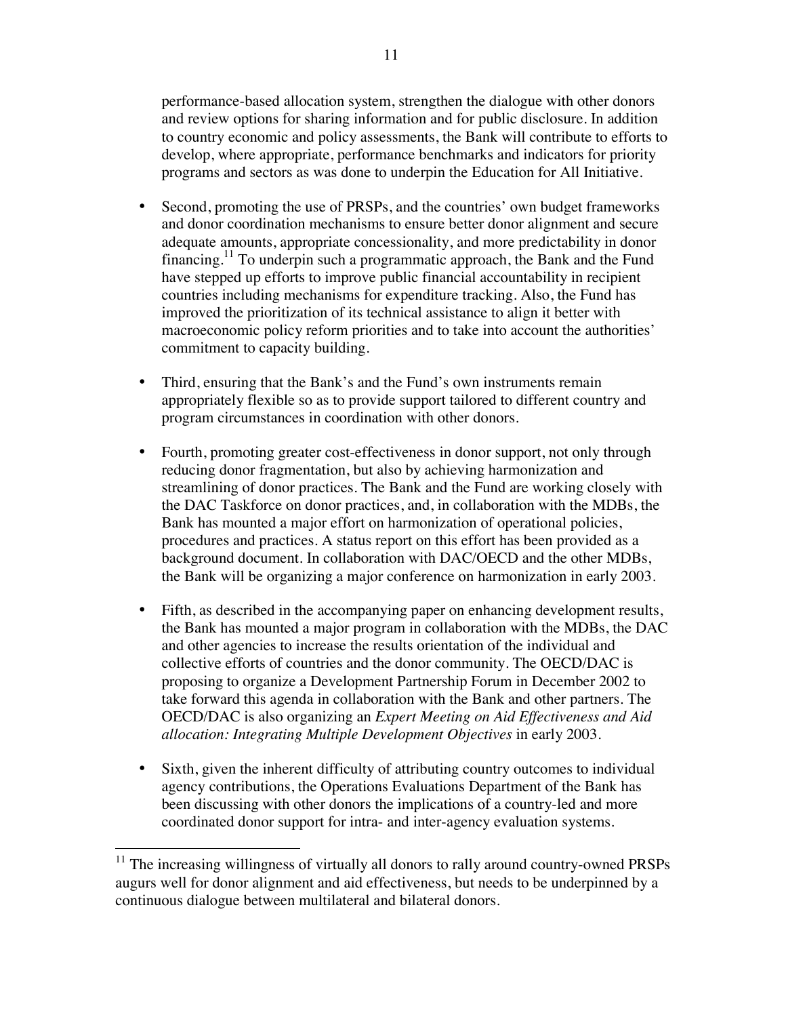performance-based allocation system, strengthen the dialogue with other donors and review options for sharing information and for public disclosure. In addition to country economic and policy assessments, the Bank will contribute to efforts to develop, where appropriate, performance benchmarks and indicators for priority programs and sectors as was done to underpin the Education for All Initiative.

- Second, promoting the use of PRSPs, and the countries' own budget frameworks and donor coordination mechanisms to ensure better donor alignment and secure adequate amounts, appropriate concessionality, and more predictability in donor financing.<sup>11</sup> To underpin such a programmatic approach, the Bank and the Fund have stepped up efforts to improve public financial accountability in recipient countries including mechanisms for expenditure tracking. Also, the Fund has improved the prioritization of its technical assistance to align it better with macroeconomic policy reform priorities and to take into account the authorities' commitment to capacity building.
- Third, ensuring that the Bank's and the Fund's own instruments remain appropriately flexible so as to provide support tailored to different country and program circumstances in coordination with other donors.
- Fourth, promoting greater cost-effectiveness in donor support, not only through reducing donor fragmentation, but also by achieving harmonization and streamlining of donor practices. The Bank and the Fund are working closely with the DAC Taskforce on donor practices, and, in collaboration with the MDBs, the Bank has mounted a major effort on harmonization of operational policies, procedures and practices. A status report on this effort has been provided as a background document. In collaboration with DAC/OECD and the other MDBs, the Bank will be organizing a major conference on harmonization in early 2003.
- Fifth, as described in the accompanying paper on enhancing development results, the Bank has mounted a major program in collaboration with the MDBs, the DAC and other agencies to increase the results orientation of the individual and collective efforts of countries and the donor community. The OECD/DAC is proposing to organize a Development Partnership Forum in December 2002 to take forward this agenda in collaboration with the Bank and other partners. The OECD/DAC is also organizing an *Expert Meeting on Aid Effectiveness and Aid allocation: Integrating Multiple Development Objectives* in early 2003.
- Sixth, given the inherent difficulty of attributing country outcomes to individual agency contributions, the Operations Evaluations Department of the Bank has been discussing with other donors the implications of a country-led and more coordinated donor support for intra- and inter-agency evaluation systems.

 $11$  The increasing willingness of virtually all donors to rally around country-owned PRSPs augurs well for donor alignment and aid effectiveness, but needs to be underpinned by a continuous dialogue between multilateral and bilateral donors.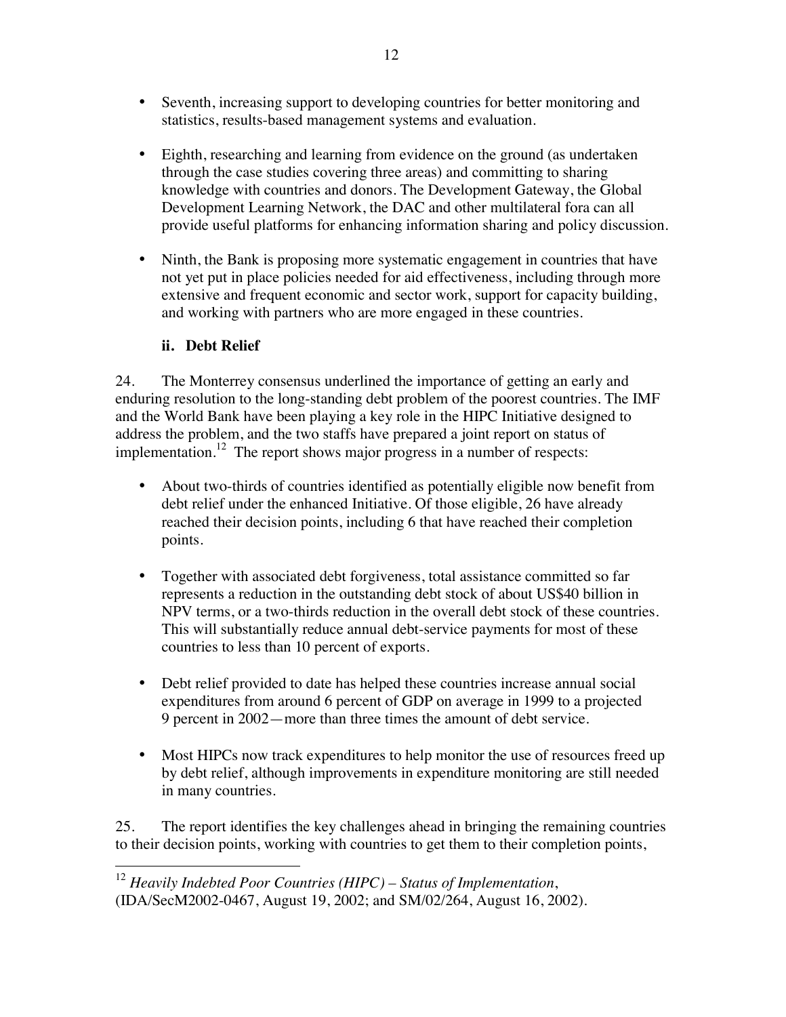- Seventh, increasing support to developing countries for better monitoring and statistics, results-based management systems and evaluation.
- Eighth, researching and learning from evidence on the ground (as undertaken through the case studies covering three areas) and committing to sharing knowledge with countries and donors. The Development Gateway, the Global Development Learning Network, the DAC and other multilateral fora can all provide useful platforms for enhancing information sharing and policy discussion.
- Ninth, the Bank is proposing more systematic engagement in countries that have not yet put in place policies needed for aid effectiveness, including through more extensive and frequent economic and sector work, support for capacity building, and working with partners who are more engaged in these countries.

## **ii. Debt Relief**

24. The Monterrey consensus underlined the importance of getting an early and enduring resolution to the long-standing debt problem of the poorest countries. The IMF and the World Bank have been playing a key role in the HIPC Initiative designed to address the problem, and the two staffs have prepared a joint report on status of implementation.<sup>12</sup> The report shows major progress in a number of respects:

- About two-thirds of countries identified as potentially eligible now benefit from debt relief under the enhanced Initiative. Of those eligible, 26 have already reached their decision points, including 6 that have reached their completion points.
- Together with associated debt forgiveness, total assistance committed so far represents a reduction in the outstanding debt stock of about US\$40 billion in NPV terms, or a two-thirds reduction in the overall debt stock of these countries. This will substantially reduce annual debt-service payments for most of these countries to less than 10 percent of exports.
- Debt relief provided to date has helped these countries increase annual social expenditures from around 6 percent of GDP on average in 1999 to a projected 9 percent in 2002—more than three times the amount of debt service.
- Most HIPCs now track expenditures to help monitor the use of resources freed up by debt relief, although improvements in expenditure monitoring are still needed in many countries.

25. The report identifies the key challenges ahead in bringing the remaining countries to their decision points, working with countries to get them to their completion points,

 $\overline{\phantom{a}}$ <sup>12</sup> *Heavily Indebted Poor Countries (HIPC) – Status of Implementation*, (IDA/SecM2002-0467, August 19, 2002; and SM/02/264, August 16, 2002).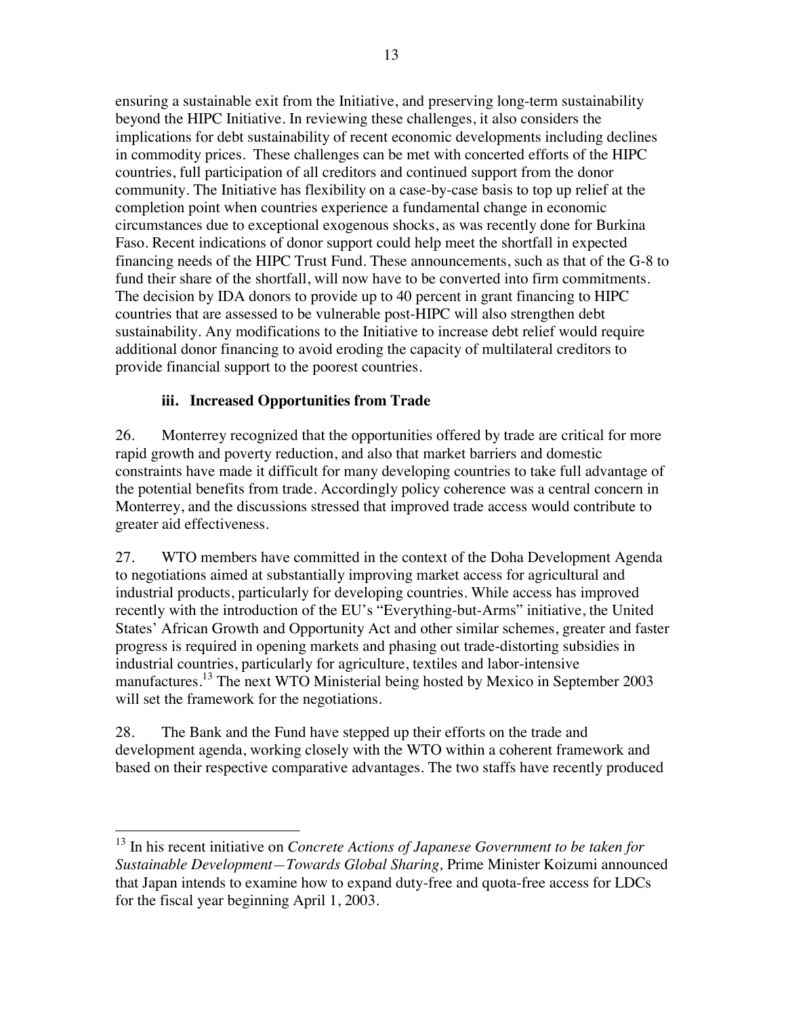ensuring a sustainable exit from the Initiative, and preserving long-term sustainability beyond the HIPC Initiative. In reviewing these challenges, it also considers the implications for debt sustainability of recent economic developments including declines in commodity prices. These challenges can be met with concerted efforts of the HIPC countries, full participation of all creditors and continued support from the donor community. The Initiative has flexibility on a case-by-case basis to top up relief at the completion point when countries experience a fundamental change in economic circumstances due to exceptional exogenous shocks, as was recently done for Burkina Faso. Recent indications of donor support could help meet the shortfall in expected financing needs of the HIPC Trust Fund. These announcements, such as that of the G-8 to fund their share of the shortfall, will now have to be converted into firm commitments. The decision by IDA donors to provide up to 40 percent in grant financing to HIPC countries that are assessed to be vulnerable post-HIPC will also strengthen debt sustainability. Any modifications to the Initiative to increase debt relief would require additional donor financing to avoid eroding the capacity of multilateral creditors to provide financial support to the poorest countries.

## **iii. Increased Opportunities from Trade**

 $\overline{a}$ 

26. Monterrey recognized that the opportunities offered by trade are critical for more rapid growth and poverty reduction, and also that market barriers and domestic constraints have made it difficult for many developing countries to take full advantage of the potential benefits from trade. Accordingly policy coherence was a central concern in Monterrey, and the discussions stressed that improved trade access would contribute to greater aid effectiveness.

27. WTO members have committed in the context of the Doha Development Agenda to negotiations aimed at substantially improving market access for agricultural and industrial products, particularly for developing countries. While access has improved recently with the introduction of the EU's "Everything-but-Arms" initiative, the United States' African Growth and Opportunity Act and other similar schemes, greater and faster progress is required in opening markets and phasing out trade-distorting subsidies in industrial countries, particularly for agriculture, textiles and labor-intensive manufactures.13 The next WTO Ministerial being hosted by Mexico in September 2003 will set the framework for the negotiations.

28. The Bank and the Fund have stepped up their efforts on the trade and development agenda, working closely with the WTO within a coherent framework and based on their respective comparative advantages. The two staffs have recently produced

<sup>13</sup> In his recent initiative on *Concrete Actions of Japanese Government to be taken for Sustainable Development—Towards Global Sharing,* Prime Minister Koizumi announced that Japan intends to examine how to expand duty-free and quota-free access for LDCs for the fiscal year beginning April 1, 2003.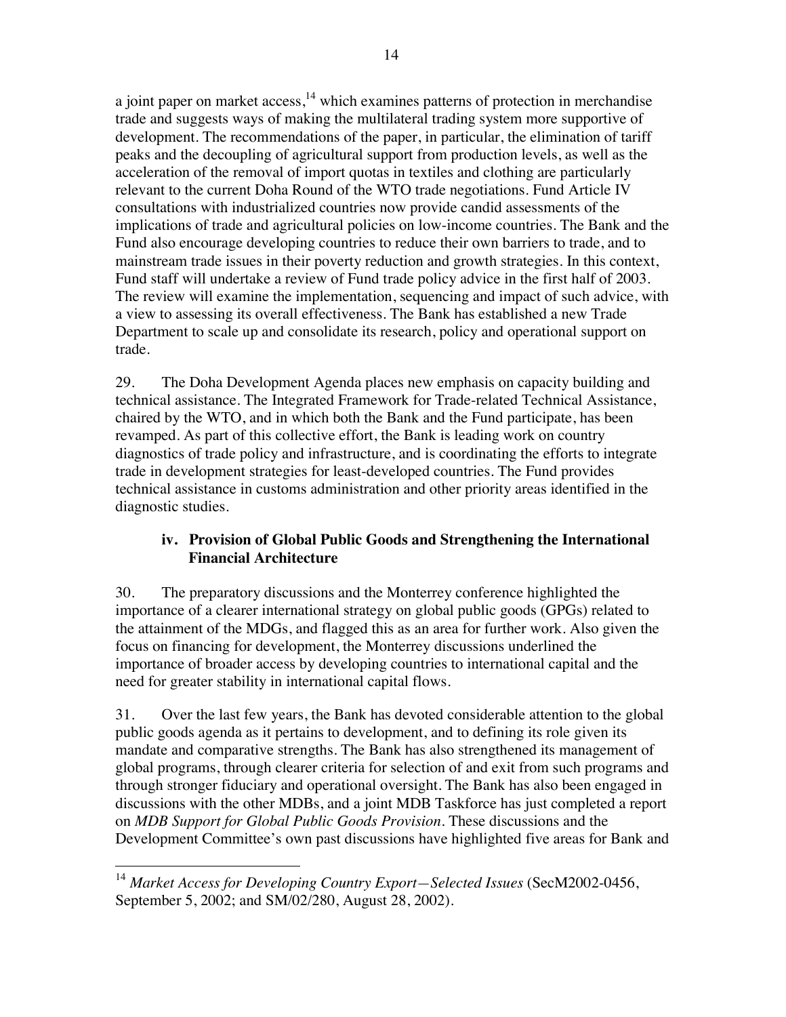a joint paper on market access, $^{14}$  which examines patterns of protection in merchandise trade and suggests ways of making the multilateral trading system more supportive of development. The recommendations of the paper, in particular, the elimination of tariff peaks and the decoupling of agricultural support from production levels, as well as the acceleration of the removal of import quotas in textiles and clothing are particularly relevant to the current Doha Round of the WTO trade negotiations. Fund Article IV consultations with industrialized countries now provide candid assessments of the implications of trade and agricultural policies on low-income countries. The Bank and the Fund also encourage developing countries to reduce their own barriers to trade, and to mainstream trade issues in their poverty reduction and growth strategies. In this context, Fund staff will undertake a review of Fund trade policy advice in the first half of 2003. The review will examine the implementation, sequencing and impact of such advice, with a view to assessing its overall effectiveness. The Bank has established a new Trade Department to scale up and consolidate its research, policy and operational support on trade.

29. The Doha Development Agenda places new emphasis on capacity building and technical assistance. The Integrated Framework for Trade-related Technical Assistance, chaired by the WTO, and in which both the Bank and the Fund participate, has been revamped. As part of this collective effort, the Bank is leading work on country diagnostics of trade policy and infrastructure, and is coordinating the efforts to integrate trade in development strategies for least-developed countries. The Fund provides technical assistance in customs administration and other priority areas identified in the diagnostic studies.

## **iv. Provision of Global Public Goods and Strengthening the International Financial Architecture**

30. The preparatory discussions and the Monterrey conference highlighted the importance of a clearer international strategy on global public goods (GPGs) related to the attainment of the MDGs, and flagged this as an area for further work. Also given the focus on financing for development, the Monterrey discussions underlined the importance of broader access by developing countries to international capital and the need for greater stability in international capital flows.

31. Over the last few years, the Bank has devoted considerable attention to the global public goods agenda as it pertains to development, and to defining its role given its mandate and comparative strengths. The Bank has also strengthened its management of global programs, through clearer criteria for selection of and exit from such programs and through stronger fiduciary and operational oversight. The Bank has also been engaged in discussions with the other MDBs, and a joint MDB Taskforce has just completed a report on *MDB Support for Global Public Goods Provision.* These discussions and the Development Committee's own past discussions have highlighted five areas for Bank and

 $\overline{\phantom{a}}$ <sup>14</sup> Market Access for Developing Country Export–Selected Issues (SecM2002-0456, September 5, 2002; and SM/02/280, August 28, 2002).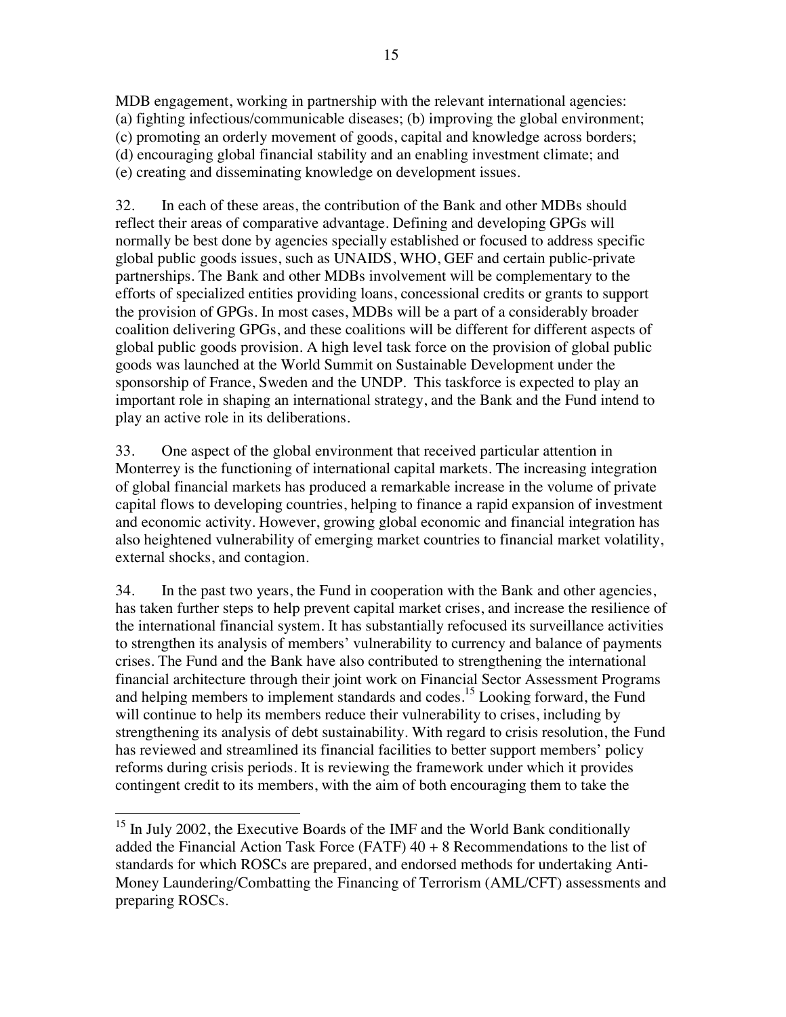MDB engagement, working in partnership with the relevant international agencies: (a) fighting infectious/communicable diseases; (b) improving the global environment; (c) promoting an orderly movement of goods, capital and knowledge across borders; (d) encouraging global financial stability and an enabling investment climate; and (e) creating and disseminating knowledge on development issues.

32. In each of these areas, the contribution of the Bank and other MDBs should reflect their areas of comparative advantage. Defining and developing GPGs will normally be best done by agencies specially established or focused to address specific global public goods issues, such as UNAIDS, WHO, GEF and certain public-private partnerships. The Bank and other MDBs involvement will be complementary to the efforts of specialized entities providing loans, concessional credits or grants to support the provision of GPGs. In most cases, MDBs will be a part of a considerably broader coalition delivering GPGs, and these coalitions will be different for different aspects of global public goods provision. A high level task force on the provision of global public goods was launched at the World Summit on Sustainable Development under the sponsorship of France, Sweden and the UNDP. This taskforce is expected to play an important role in shaping an international strategy, and the Bank and the Fund intend to play an active role in its deliberations.

33. One aspect of the global environment that received particular attention in Monterrey is the functioning of international capital markets. The increasing integration of global financial markets has produced a remarkable increase in the volume of private capital flows to developing countries, helping to finance a rapid expansion of investment and economic activity. However, growing global economic and financial integration has also heightened vulnerability of emerging market countries to financial market volatility, external shocks, and contagion.

34. In the past two years, the Fund in cooperation with the Bank and other agencies, has taken further steps to help prevent capital market crises, and increase the resilience of the international financial system. It has substantially refocused its surveillance activities to strengthen its analysis of members' vulnerability to currency and balance of payments crises. The Fund and the Bank have also contributed to strengthening the international financial architecture through their joint work on Financial Sector Assessment Programs and helping members to implement standards and codes.<sup>15</sup> Looking forward, the Fund will continue to help its members reduce their vulnerability to crises, including by strengthening its analysis of debt sustainability. With regard to crisis resolution, the Fund has reviewed and streamlined its financial facilities to better support members' policy reforms during crisis periods. It is reviewing the framework under which it provides contingent credit to its members, with the aim of both encouraging them to take the

 $\overline{a}$  $15$  In July 2002, the Executive Boards of the IMF and the World Bank conditionally added the Financial Action Task Force (FATF)  $40 + 8$  Recommendations to the list of standards for which ROSCs are prepared, and endorsed methods for undertaking Anti-Money Laundering/Combatting the Financing of Terrorism (AML/CFT) assessments and preparing ROSCs.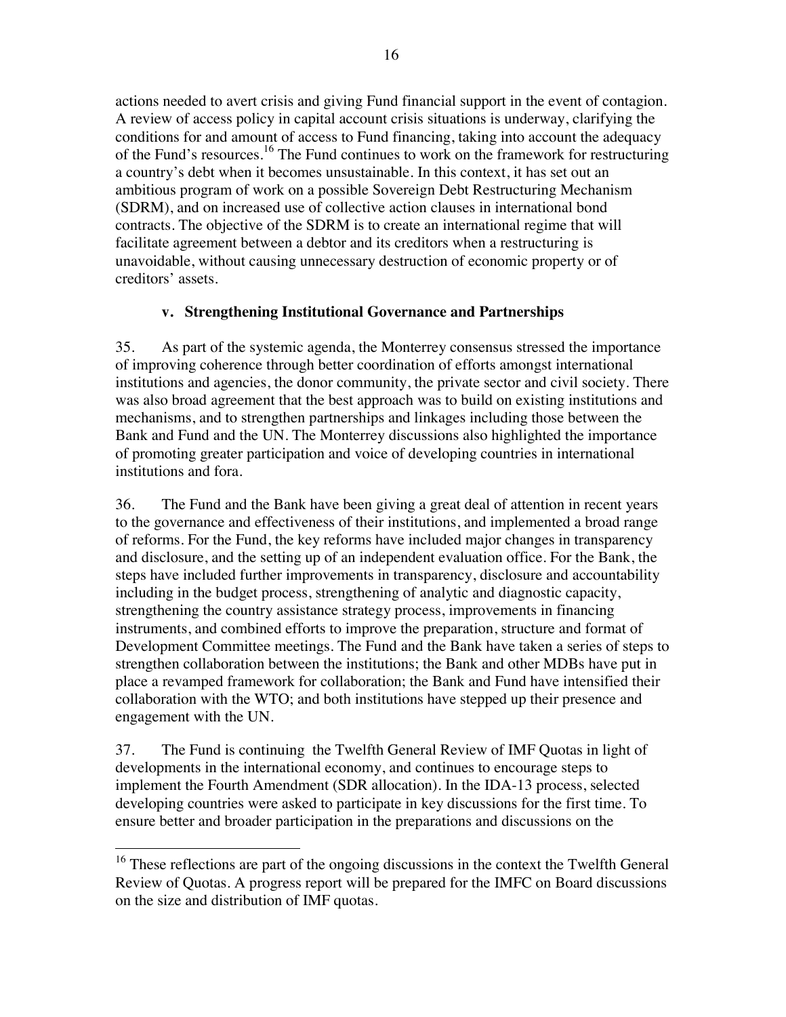actions needed to avert crisis and giving Fund financial support in the event of contagion. A review of access policy in capital account crisis situations is underway, clarifying the conditions for and amount of access to Fund financing, taking into account the adequacy of the Fund's resources.<sup>16</sup> The Fund continues to work on the framework for restructuring a country's debt when it becomes unsustainable. In this context, it has set out an ambitious program of work on a possible Sovereign Debt Restructuring Mechanism (SDRM), and on increased use of collective action clauses in international bond contracts. The objective of the SDRM is to create an international regime that will facilitate agreement between a debtor and its creditors when a restructuring is unavoidable, without causing unnecessary destruction of economic property or of creditors' assets.

## **v. Strengthening Institutional Governance and Partnerships**

35. As part of the systemic agenda, the Monterrey consensus stressed the importance of improving coherence through better coordination of efforts amongst international institutions and agencies, the donor community, the private sector and civil society. There was also broad agreement that the best approach was to build on existing institutions and mechanisms, and to strengthen partnerships and linkages including those between the Bank and Fund and the UN. The Monterrey discussions also highlighted the importance of promoting greater participation and voice of developing countries in international institutions and fora.

36. The Fund and the Bank have been giving a great deal of attention in recent years to the governance and effectiveness of their institutions, and implemented a broad range of reforms. For the Fund, the key reforms have included major changes in transparency and disclosure, and the setting up of an independent evaluation office. For the Bank, the steps have included further improvements in transparency, disclosure and accountability including in the budget process, strengthening of analytic and diagnostic capacity, strengthening the country assistance strategy process, improvements in financing instruments, and combined efforts to improve the preparation, structure and format of Development Committee meetings. The Fund and the Bank have taken a series of steps to strengthen collaboration between the institutions; the Bank and other MDBs have put in place a revamped framework for collaboration; the Bank and Fund have intensified their collaboration with the WTO; and both institutions have stepped up their presence and engagement with the UN.

37. The Fund is continuing the Twelfth General Review of IMF Quotas in light of developments in the international economy, and continues to encourage steps to implement the Fourth Amendment (SDR allocation). In the IDA-13 process, selected developing countries were asked to participate in key discussions for the first time. To ensure better and broader participation in the preparations and discussions on the

 $16$  These reflections are part of the ongoing discussions in the context the Twelfth General Review of Quotas. A progress report will be prepared for the IMFC on Board discussions on the size and distribution of IMF quotas.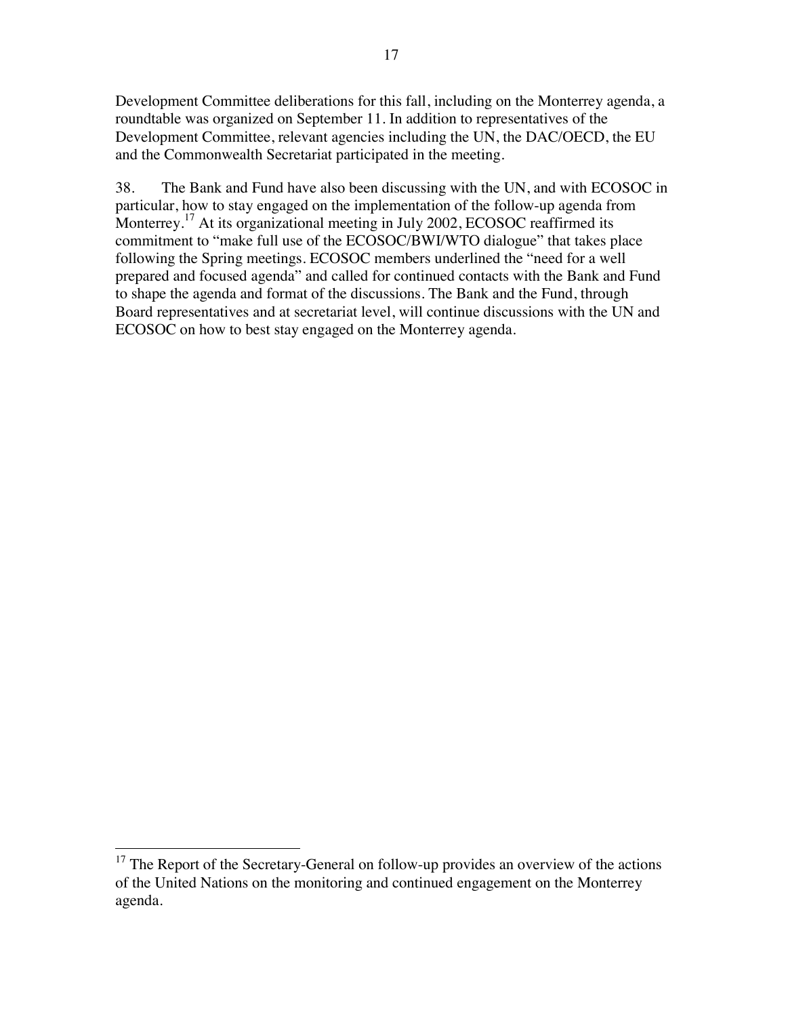Development Committee deliberations for this fall, including on the Monterrey agenda, a roundtable was organized on September 11. In addition to representatives of the Development Committee, relevant agencies including the UN, the DAC/OECD, the EU and the Commonwealth Secretariat participated in the meeting.

38. The Bank and Fund have also been discussing with the UN, and with ECOSOC in particular, how to stay engaged on the implementation of the follow-up agenda from Monterrey.<sup>17</sup> At its organizational meeting in July 2002, ECOSOC reaffirmed its commitment to "make full use of the ECOSOC/BWI/WTO dialogue" that takes place following the Spring meetings. ECOSOC members underlined the "need for a well prepared and focused agenda" and called for continued contacts with the Bank and Fund to shape the agenda and format of the discussions. The Bank and the Fund, through Board representatives and at secretariat level, will continue discussions with the UN and ECOSOC on how to best stay engaged on the Monterrey agenda.

 $17$  The Report of the Secretary-General on follow-up provides an overview of the actions of the United Nations on the monitoring and continued engagement on the Monterrey agenda.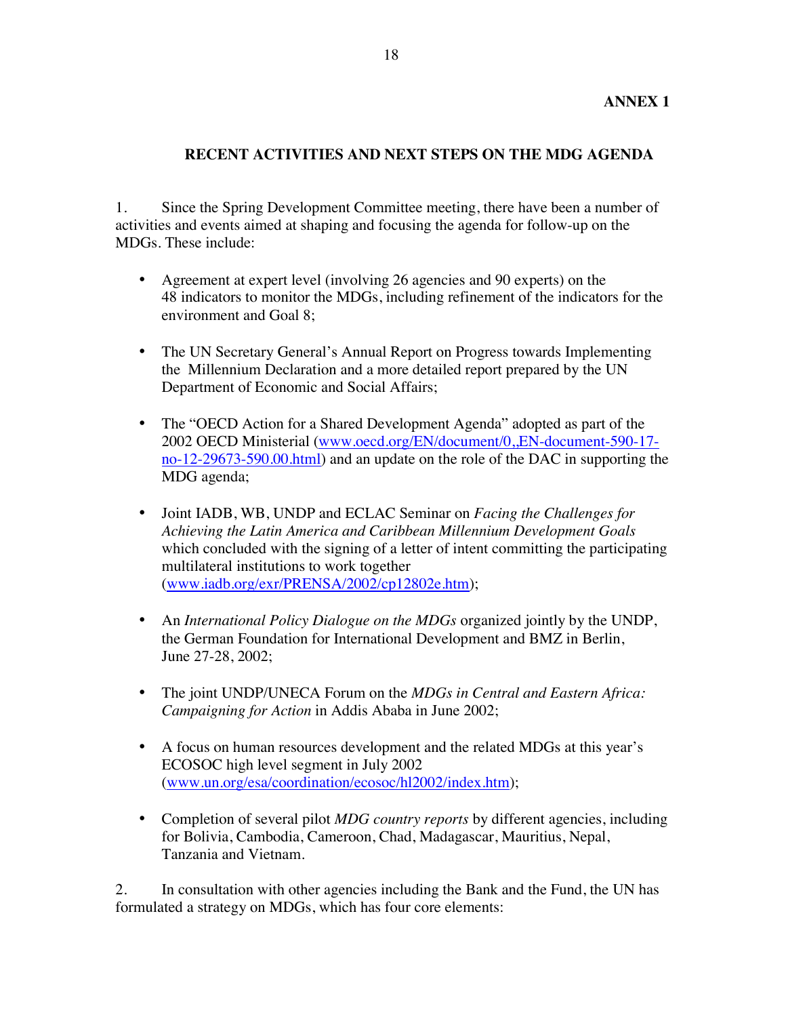## **RECENT ACTIVITIES AND NEXT STEPS ON THE MDG AGENDA**

1. Since the Spring Development Committee meeting, there have been a number of activities and events aimed at shaping and focusing the agenda for follow-up on the MDGs. These include:

- Agreement at expert level (involving 26 agencies and 90 experts) on the 48 indicators to monitor the MDGs, including refinement of the indicators for the environment and Goal 8;
- The UN Secretary General's Annual Report on Progress towards Implementing the Millennium Declaration and a more detailed report prepared by the UN Department of Economic and Social Affairs;
- The "OECD Action for a Shared Development Agenda" adopted as part of the 2002 OECD Ministerial (www.oecd.org/EN/document/0,,EN-document-590-17 no-12-29673-590.00.html) and an update on the role of the DAC in supporting the MDG agenda;
- Joint IADB, WB, UNDP and ECLAC Seminar on *Facing the Challenges for Achieving the Latin America and Caribbean Millennium Development Goals* which concluded with the signing of a letter of intent committing the participating multilateral institutions to work together (www.iadb.org/exr/PRENSA/2002/cp12802e.htm);
- An *International Policy Dialogue on the MDGs* organized jointly by the UNDP, the German Foundation for International Development and BMZ in Berlin, June 27-28, 2002;
- The joint UNDP/UNECA Forum on the *MDGs in Central and Eastern Africa: Campaigning for Action* in Addis Ababa in June 2002;
- A focus on human resources development and the related MDGs at this year's ECOSOC high level segment in July 2002 (www.un.org/esa/coordination/ecosoc/hl2002/index.htm);
- Completion of several pilot *MDG country reports* by different agencies, including for Bolivia, Cambodia, Cameroon, Chad, Madagascar, Mauritius, Nepal, Tanzania and Vietnam.

2. In consultation with other agencies including the Bank and the Fund, the UN has formulated a strategy on MDGs, which has four core elements: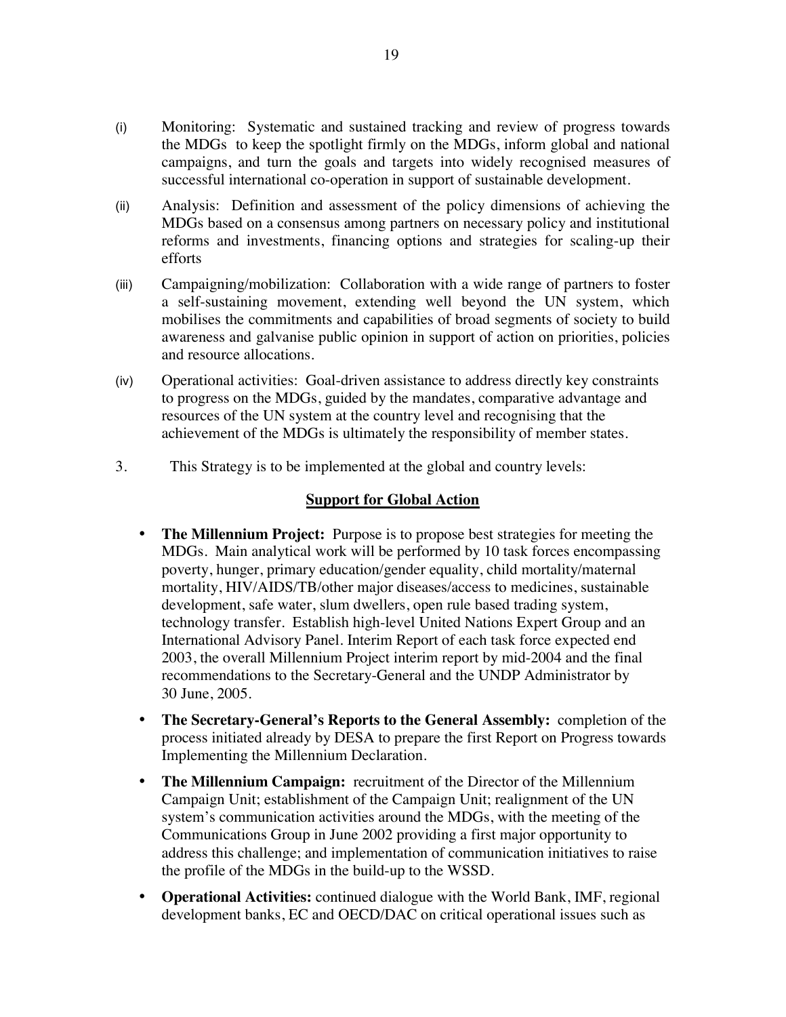- (i) Monitoring: Systematic and sustained tracking and review of progress towards the MDGs to keep the spotlight firmly on the MDGs, inform global and national campaigns, and turn the goals and targets into widely recognised measures of successful international co-operation in support of sustainable development.
- (ii) Analysis: Definition and assessment of the policy dimensions of achieving the MDGs based on a consensus among partners on necessary policy and institutional reforms and investments, financing options and strategies for scaling-up their efforts
- (iii) Campaigning/mobilization: Collaboration with a wide range of partners to foster a self-sustaining movement, extending well beyond the UN system, which mobilises the commitments and capabilities of broad segments of society to build awareness and galvanise public opinion in support of action on priorities, policies and resource allocations.
- (iv) Operational activities: Goal-driven assistance to address directly key constraints to progress on the MDGs, guided by the mandates, comparative advantage and resources of the UN system at the country level and recognising that the achievement of the MDGs is ultimately the responsibility of member states.
- 3. This Strategy is to be implemented at the global and country levels:

#### **Support for Global Action**

- **The Millennium Project:** Purpose is to propose best strategies for meeting the MDGs. Main analytical work will be performed by 10 task forces encompassing poverty, hunger, primary education/gender equality, child mortality/maternal mortality, HIV/AIDS/TB/other major diseases/access to medicines, sustainable development, safe water, slum dwellers, open rule based trading system, technology transfer. Establish high-level United Nations Expert Group and an International Advisory Panel. Interim Report of each task force expected end 2003, the overall Millennium Project interim report by mid-2004 and the final recommendations to the Secretary-General and the UNDP Administrator by 30 June, 2005.
- **The Secretary-General's Reports to the General Assembly:** completion of the process initiated already by DESA to prepare the first Report on Progress towards Implementing the Millennium Declaration.
- **The Millennium Campaign:** recruitment of the Director of the Millennium Campaign Unit; establishment of the Campaign Unit; realignment of the UN system's communication activities around the MDGs, with the meeting of the Communications Group in June 2002 providing a first major opportunity to address this challenge; and implementation of communication initiatives to raise the profile of the MDGs in the build-up to the WSSD.
- **Operational Activities:** continued dialogue with the World Bank, IMF, regional development banks, EC and OECD/DAC on critical operational issues such as